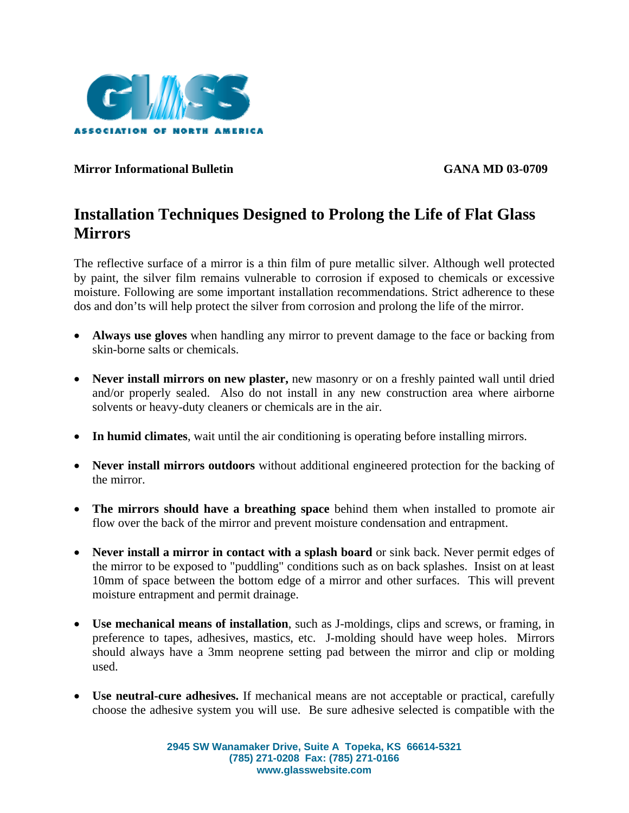

## **Mirror Informational Bulletin GANA MD 03-0709**

## **Installation Techniques Designed to Prolong the Life of Flat Glass Mirrors**

The reflective surface of a mirror is a thin film of pure metallic silver. Although well protected by paint, the silver film remains vulnerable to corrosion if exposed to chemicals or excessive moisture. Following are some important installation recommendations. Strict adherence to these dos and don'ts will help protect the silver from corrosion and prolong the life of the mirror.

- **Always use gloves** when handling any mirror to prevent damage to the face or backing from skin-borne salts or chemicals.
- **Never install mirrors on new plaster,** new masonry or on a freshly painted wall until dried and/or properly sealed. Also do not install in any new construction area where airborne solvents or heavy-duty cleaners or chemicals are in the air.
- **In humid climates**, wait until the air conditioning is operating before installing mirrors.
- **Never install mirrors outdoors** without additional engineered protection for the backing of the mirror.
- **The mirrors should have a breathing space** behind them when installed to promote air flow over the back of the mirror and prevent moisture condensation and entrapment.
- **Never install a mirror in contact with a splash board** or sink back. Never permit edges of the mirror to be exposed to "puddling" conditions such as on back splashes. Insist on at least 10mm of space between the bottom edge of a mirror and other surfaces. This will prevent moisture entrapment and permit drainage.
- **Use mechanical means of installation**, such as J-moldings, clips and screws, or framing, in preference to tapes, adhesives, mastics, etc. J-molding should have weep holes. Mirrors should always have a 3mm neoprene setting pad between the mirror and clip or molding used.
- **Use neutral-cure adhesives.** If mechanical means are not acceptable or practical, carefully choose the adhesive system you will use. Be sure adhesive selected is compatible with the

**2945 SW Wanamaker Drive, Suite A Topeka, KS 66614-5321 (785) 271-0208 Fax: (785) 271-0166 www.glasswebsite.com**